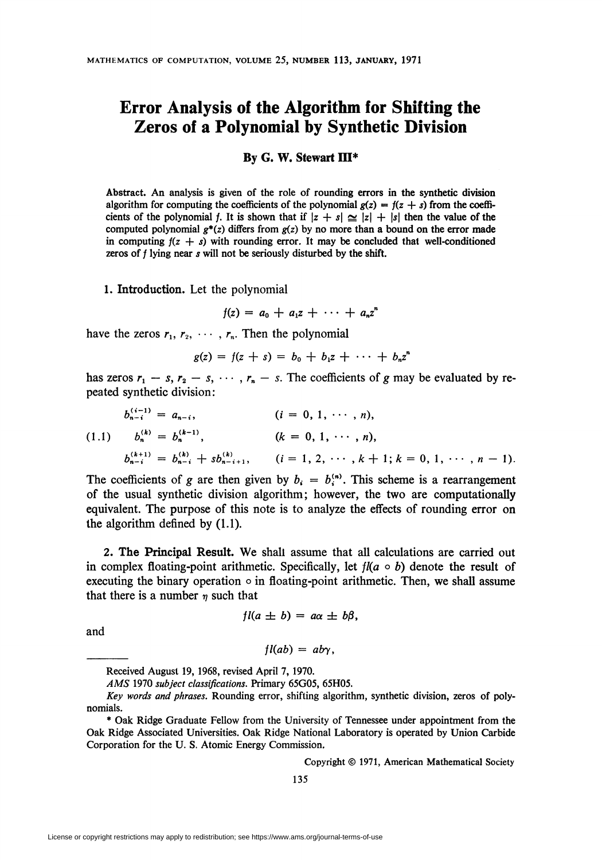## Error Analysis of the Algorithm for Shifting the Zeros of a Polynomial by Synthetic Division

## By G. W. Stewart III\*

Abstract. An analysis is given of the role of rounding errors in the synthetic division algorithm for computing the coefficients of the polynomial  $g(z) = f(z + s)$  from the coefficients of the polynomial f. It is shown that if  $\vert z + s\vert \geq \vert z\vert + \vert s\vert$  then the value of the computed polynomial  $g^*(z)$  differs from  $g(z)$  by no more than a bound on the error made in computing  $f(z + s)$  with rounding error. It may be concluded that well-conditioned zeros of  $f$  lying near  $s$  will not be seriously disturbed by the shift.

1. Introduction. Let the polynomial

 $f(z) = a_0 + a_1 z + \cdots + a_n z^n$ 

have the zeros  $r_1, r_2, \cdots, r_n$ . Then the polynomial

$$
g(z) = f(z + s) = b_0 + b_1 z + \cdots + b_n z^n
$$

has zeros  $r_1 - s$ ,  $r_2 - s$ ,  $\cdots$ ,  $r_n - s$ . The coefficients of g may be evaluated by repeated synthetic division:

$$
b_{n-i}^{(i-1)} = a_{n-i}, \qquad (i = 0, 1, \cdots, n),
$$
  
(1.1) 
$$
b_n^{(k)} = b_n^{(k-1)}, \qquad (k = 0, 1, \cdots, n),
$$

$$
b_{n-i}^{(k+1)} = b_{n-i}^{(k)} + sb_{n-i+1}^{(k)}, \qquad (i = 1, 2, \cdots, k+1; k = 0, 1, \cdots, n-1).
$$

The coefficients of g are then given by  $b_i = b_i^{(n)}$ . This scheme is a rearrangement of the usual synthetic division algorithm; however, the two are computationally equivalent. The purpose of this note is to analyze the effects of rounding error on the algorithm defined by (1.1).

2. The Principal Result. We shall assume that all calculations are carried out in complex floating-point arithmetic. Specifically, let  $f/(a \circ b)$  denote the result of executing the binary operation  $\circ$  in floating-point arithmetic. Then, we shall assume that there is a number  $\eta$  such that

$$
fl(a \pm b) = a\alpha \pm b\beta,
$$

and

## $fl(ab) = aby.$

Copyright © 1971, American Mathematical Society

Received August 19, 1968, revised April 7, 1970.

AMS 1970 subject classifications. Primary 65G05, 65H05.

Key words and phrases. Rounding error, shifting algorithm, synthetic division, zeros of polynomials.

<sup>\*</sup> Oak Ridge Graduate Fellow from the University of Tennessee under appointment from the Oak Ridge Associated Universities. Oak Ridge National Laboratory is operated by Union Carbide Corporation for the U. S. Atomic Energy Commission.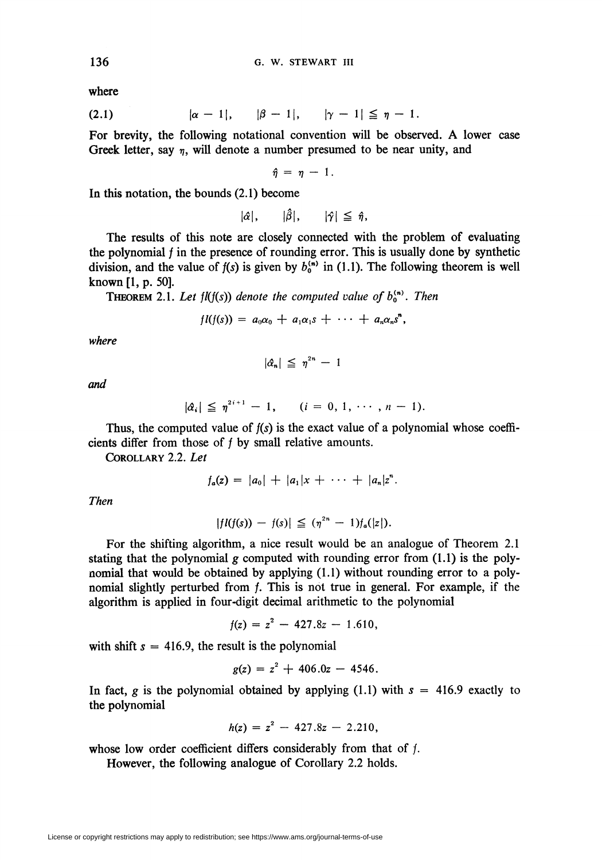where

(2.1) 
$$
|\alpha - 1|, \quad |\beta - 1|, \quad |\gamma - 1| \leq \eta - 1.
$$

For brevity, the following notational convention will be observed. A lower case Greek letter, say  $\eta$ , will denote a number presumed to be near unity, and

 $\hat{n} = n - 1$ .

In this notation, the bounds (2.1) become

 $|\hat{\alpha}|, \quad |\hat{\beta}|, \quad |\hat{\gamma}| \leq \hat{\eta},$ 

The results of this note are closely connected with the problem of evaluating the polynomial  $f$  in the presence of rounding error. This is usually done by synthetic division, and the value of  $f(s)$  is given by  $b_0^{(n)}$  in (1.1). The following theorem is well known [1, p. 50].

**THEOREM 2.1. Let fl(f(s)) denote the computed value of**  $b_0^{(n)}$ **. Then** 

$$
fl(f(s)) = a_0\alpha_0 + a_1\alpha_1s + \cdots + a_n\alpha_ns^n,
$$

where

 $|\hat{\alpha}_n| \leq \eta^{2n} - 1$ 

and

$$
|\hat{\alpha}_i| \leq \eta^{2i+1} - 1, \qquad (i = 0, 1, \cdots, n-1).
$$

Thus, the computed value of  $f(s)$  is the exact value of a polynomial whose coefficients differ from those of  $f$  by small relative amounts.

Corollary 2.2. Let

$$
f_a(z) = |a_0| + |a_1|x + \cdots + |a_n|z^n.
$$

Then

$$
|fI(f(s)) - f(s)| \leq (\eta^{2n} - 1)f_a(|z|).
$$

For the shifting algorithm, a nice result would be an analogue of Theorem 2.1 stating that the polynomial g computed with rounding error from  $(1.1)$  is the polynomial that would be obtained by applying (1.1) without rounding error to a polynomial slightly perturbed from  $f$ . This is not true in general. For example, if the algorithm is applied in four-digit decimal arithmetic to the polynomial

$$
f(z) = z^2 - 427.8z - 1.610,
$$

with shift  $s = 416.9$ , the result is the polynomial

$$
g(z) = z^2 + 406.0z - 4546.
$$

In fact, g is the polynomial obtained by applying (1.1) with  $s = 416.9$  exactly to the polynomial

$$
h(z) = z^2 - 427.8z - 2.210,
$$

whose low order coefficient differs considerably from that of f.

However, the following analogue of Corollary 2.2 holds.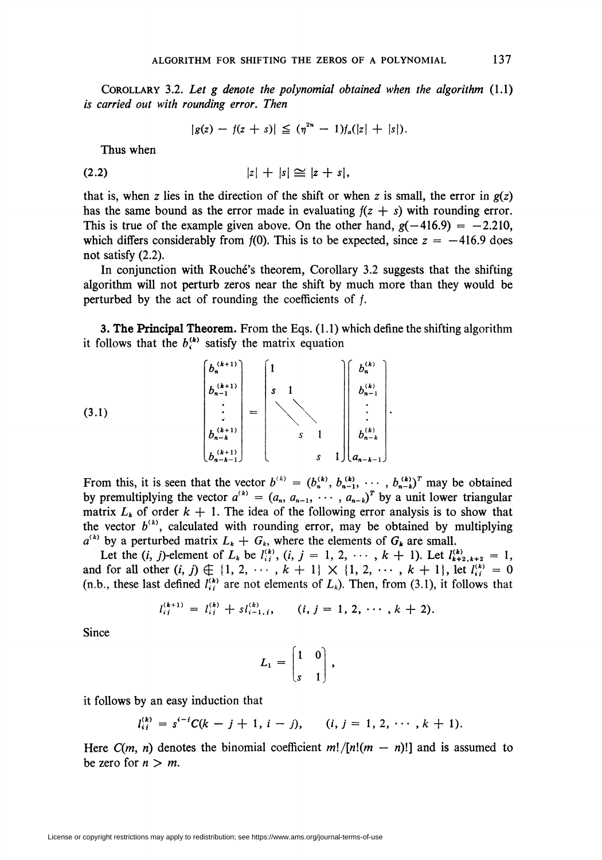COROLLARY 3.2. Let  $g$  denote the polynomial obtained when the algorithm  $(1.1)$ is carried out with rounding error. Then

$$
|g(z) - f(z + s)| \leq (\eta^{2n} - 1)f_a(|z| + |s|).
$$

Thus when

$$
|z|+|s|\cong |z+s|,
$$

that is, when z lies in the direction of the shift or when z is small, the error in  $g(z)$ has the same bound as the error made in evaluating  $f(z + s)$  with rounding error. This is true of the example given above. On the other hand,  $g(-416.9) = -2.210$ , which differs considerably from  $f(0)$ . This is to be expected, since  $z = -416.9$  does not satisfy (2.2).

In conjunction with Rouché's theorem, Corollary 3.2 suggests that the shifting algorithm will not perturb zeros near the shift by much more than they would be perturbed by the act of rounding the coefficients of  $f$ .

3. The Principal Theorem. From the Eqs. (1.1) which define the shifting algorithm it follows that the  $b_i^{(k)}$  satisfy the matrix equation

$$
(3.1)
$$
\n
$$
\begin{bmatrix} b_n^{(k+1)} \\ b_{n-1}^{(k+1)} \\ \vdots \\ b_{n-k}^{(k+1)} \\ b_{n-k}^{(k+1)} \end{bmatrix} = \begin{bmatrix} 1 \\ s & 1 \\ & & & \\ & & & \\ & & & \\ & & & & \\ & & & & \\ & & & & \\ & & & & 1 \\ & & & & s & 1 \\ & & & & & s \end{bmatrix} \begin{bmatrix} b_n^{(k)} \\ b_{n-1}^{(k)} \\ \vdots \\ b_{n-1}^{(k)} \\ \vdots \\ b_{n-k}^{(k)} \end{bmatrix}
$$

 $\sim$   $\sim$ 

From this, it is seen that the vector  $b^{(k)} = (b_n^{(k)}, b_{n-1}^{(k)}, \cdots, b_{n-k}^{(k)})^T$  may be obtained by premultiplying the vector  $a^{(k)} = (a_n, a_{n-1}, \cdots, a_{n-k})'$  by a unit lower triangular matrix  $L_k$  of order  $k + 1$ . The idea of the following error analysis is to show that the vector  $b^{(k)}$ , calculated with rounding error, may be obtained by multiplying  $a^{(k)}$  by a perturbed matrix  $L_k + G_k$ , where the elements of  $G_k$  are small.

Let the  $(i, j)$ -element of  $L_k$  be  $l_{ij}^{(k)}$ ,  $(i, j = 1, 2, \cdots, k + 1)$ . Let  $l_{k+2, k+2}^{(k)} = 1$ , and for all other  $(i, j) \notin \{1, 2, \cdots, k + 1\} \times \{1, 2, \cdots, k + 1\}$ , let  $l^{(k)}_{ij} = 0$ (n.b., these last defined  $l_{ij}^{(k)}$  are not elements of  $L_k$ ). Then, from (3.1), it follows that

$$
l_{ij}^{(k+1)} = l_{ij}^{(k)} + s l_{i-1,j}^{(k)}, \qquad (i, j = 1, 2, \cdots, k+2).
$$

Since

$$
L_1=\begin{bmatrix}1&0\\s&1\end{bmatrix},\quad
$$

it follows by an easy induction that

$$
l_{ij}^{(k)} = s^{i-j}C(k-j+1, i-j), \qquad (i, j = 1, 2, \cdots, k+1).
$$

Here  $C(m, n)$  denotes the binomial coefficient  $m!/[n!(m - n)!]$  and is assumed to be zero for  $n > m$ .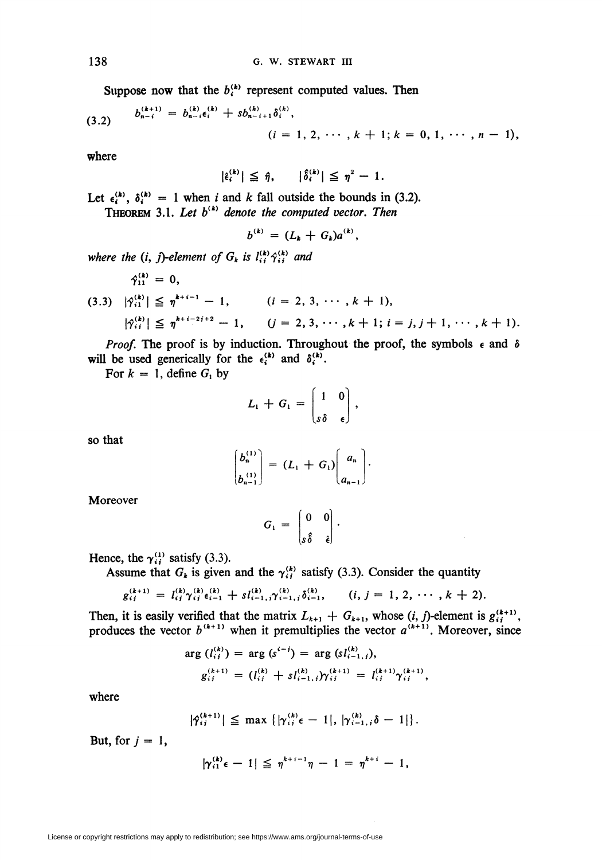Suppose now that the  $b_i^{(k)}$  represent computed values. Then

(3.2) 
$$
b_{n-i}^{(k+1)} = b_{n-i}^{(k)} \epsilon_i^{(k)} + s b_{n-i+1}^{(k)} \delta_i^{(k)},
$$

$$
(i = 1, 2, \cdots, k+1; k = 0, 1, \cdots, n-1),
$$

where

 $|\hat{\epsilon}_{i}^{(k)}| \leq \hat{\eta}, \quad |\hat{\delta}_{i}^{(k)}| \leq \eta^2 - 1.$ 

Let  $\epsilon_i^{(k)}$ ,  $\delta_i^{(k)} = 1$  when *i* and *k* fall outside the bounds in (3.2).<br>THEOREM 3.1. Let  $b^{(k)}$  denote the computed vector. Then

$$
b^{(k)} = (L_k + G_k)a^{(k)},
$$

where the (i, j)-element of  $G_k$  is  $l_{ij}^{(k)}\hat{\gamma}_{ij}^{(k)}$  and

$$
\begin{aligned}\n\hat{\gamma}_{11}^{(k)} &= 0, \\
(3.3) \quad |\hat{\gamma}_{i1}^{(k)}| &\leq \eta^{k+i-1} - 1, \\
|\hat{\gamma}_{i}^{(k)}| &\leq \eta^{k+i-2i+2} - 1, \\
&\quad (i = 2, 3, \cdots, k+1), \\
|\hat{\gamma}_{i}^{(k)}| &\leq \eta^{k+i-2i+2} - 1, \\
&\quad (j = 2, 3, \cdots, k+1; i = j, j+1, \cdots, k+1).\n\end{aligned}
$$

*Proof.* The proof is by induction. Throughout the proof, the symbols  $\epsilon$  and  $\delta$ will be used generically for the  $\epsilon_i^{(k)}$  and  $\delta_i^{(k)}$ .

For  $k = 1$ , define  $G_1$  by

$$
L_1 + G_1 = \begin{bmatrix} 1 & 0 \\ s\delta & \epsilon \end{bmatrix},
$$

so that

$$
\begin{pmatrix} b_n^{(1)} \\ b_{n-1}^{(1)} \end{pmatrix} = (L_1 + G_1) \begin{pmatrix} a_n \\ a_{n-1} \end{pmatrix}.
$$

Moreover

$$
G_1 = \begin{bmatrix} 0 & 0 \\ s\hat{\delta} & \hat{\epsilon} \end{bmatrix}.
$$

Hence, the  $\gamma_{ii}^{(1)}$  satisfy (3.3).

Assume that  $G_k$  is given and the  $\gamma_{ij}^{(k)}$  satisfy (3.3). Consider the quantity

$$
g_{ij}^{(k+1)} = l_{ij}^{(k)} \gamma_{ij}^{(k)} \epsilon_{i-1}^{(k)} + s l_{i-1,j}^{(k)} \gamma_{i-1,j}^{(k)} \delta_{i-1}^{(k)}, \qquad (i, j = 1, 2, \cdots, k+2).
$$

Then, it is easily verified that the matrix  $L_{k+1} + G_{k+1}$ , whose  $(i, j)$ -element is  $g_{ij}^{(k+1)}$ , produces the vector  $b^{(k+1)}$  when it premultiplies the vector  $a^{(k+1)}$ . Moreover, since

$$
\arg(l_{i}^{(k)}) = \arg(s^{i-j}) = \arg(sl_{i-1,j}^{(k)}),
$$
  
\n
$$
g_{i,j}^{(k+1)} = (l_{i,j}^{(k)} + s l_{i-1,j}^{(k)}) \gamma_{i,j}^{(k+1)} = l_{i,j}^{(k+1)} \gamma_{i,j}^{(k+1)},
$$

where

$$
|\hat{\gamma}_{ij}^{(k+1)}| \leq \max \left\{ |\gamma_{ij}^{(k)} \epsilon - 1|, |\gamma_{i-1,j}^{(k)} \delta - 1| \right\}.
$$

But, for  $j = 1$ ,

$$
|\gamma_{i1}^{(k)}\epsilon - 1| \leq \eta^{k+i-1}\eta - 1 = \eta^{k+i} - 1,
$$